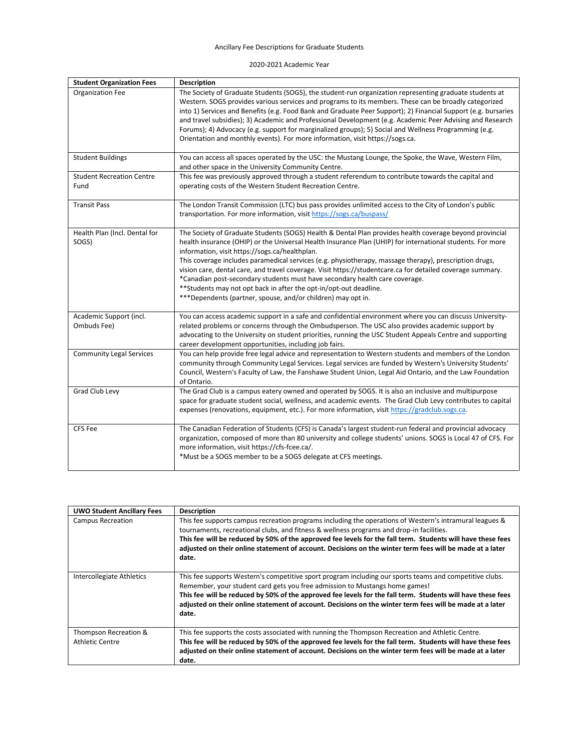## Ancillary Fee Descriptions for Graduate Students

2020-2021 Academic Year

| <b>Student Organization Fees</b>         | Description                                                                                                                                                                                                                                                                                                                                                                                                                                                                                                                                                                                                                                                                                                          |
|------------------------------------------|----------------------------------------------------------------------------------------------------------------------------------------------------------------------------------------------------------------------------------------------------------------------------------------------------------------------------------------------------------------------------------------------------------------------------------------------------------------------------------------------------------------------------------------------------------------------------------------------------------------------------------------------------------------------------------------------------------------------|
| Organization Fee                         | The Society of Graduate Students (SOGS), the student-run organization representing graduate students at<br>Western. SOGS provides various services and programs to its members. These can be broadly categorized<br>into 1) Services and Benefits (e.g. Food Bank and Graduate Peer Support); 2) Financial Support (e.g. bursaries<br>and travel subsidies); 3) Academic and Professional Development (e.g. Academic Peer Advising and Research<br>Forums); 4) Advocacy (e.g. support for marginalized groups); 5) Social and Wellness Programming (e.g.<br>Orientation and monthly events). For more information, visit https://sogs.ca.                                                                            |
| <b>Student Buildings</b>                 | You can access all spaces operated by the USC: the Mustang Lounge, the Spoke, the Wave, Western Film,<br>and other space in the University Community Centre.                                                                                                                                                                                                                                                                                                                                                                                                                                                                                                                                                         |
| <b>Student Recreation Centre</b><br>Fund | This fee was previously approved through a student referendum to contribute towards the capital and<br>operating costs of the Western Student Recreation Centre.                                                                                                                                                                                                                                                                                                                                                                                                                                                                                                                                                     |
| <b>Transit Pass</b>                      | The London Transit Commission (LTC) bus pass provides unlimited access to the City of London's public<br>transportation. For more information, visit https://sogs.ca/buspass/                                                                                                                                                                                                                                                                                                                                                                                                                                                                                                                                        |
| Health Plan (Incl. Dental for<br>SOGS)   | The Society of Graduate Students (SOGS) Health & Dental Plan provides health coverage beyond provincial<br>health insurance (OHIP) or the Universal Health Insurance Plan (UHIP) for international students. For more<br>information, visit https://sogs.ca/healthplan.<br>This coverage includes paramedical services (e.g. physiotherapy, massage therapy), prescription drugs,<br>vision care, dental care, and travel coverage. Visit https://studentcare.ca for detailed coverage summary.<br>*Canadian post-secondary students must have secondary health care coverage.<br>** Students may not opt back in after the opt-in/opt-out deadline.<br>***Dependents (partner, spouse, and/or children) may opt in. |
| Academic Support (incl.<br>Ombuds Fee)   | You can access academic support in a safe and confidential environment where you can discuss University-<br>related problems or concerns through the Ombudsperson. The USC also provides academic support by<br>advocating to the University on student priorities, running the USC Student Appeals Centre and supporting<br>career development opportunities, including job fairs.                                                                                                                                                                                                                                                                                                                                  |
| <b>Community Legal Services</b>          | You can help provide free legal advice and representation to Western students and members of the London<br>community through Community Legal Services. Legal services are funded by Western's University Students'<br>Council, Western's Faculty of Law, the Fanshawe Student Union, Legal Aid Ontario, and the Law Foundation<br>of Ontario.                                                                                                                                                                                                                                                                                                                                                                        |
| Grad Club Levy                           | The Grad Club is a campus eatery owned and operated by SOGS. It is also an inclusive and multipurpose<br>space for graduate student social, wellness, and academic events. The Grad Club Levy contributes to capital<br>expenses (renovations, equipment, etc.). For more information, visit https://gradclub.sogs.ca.                                                                                                                                                                                                                                                                                                                                                                                               |
| <b>CFS Fee</b>                           | The Canadian Federation of Students (CFS) is Canada's largest student-run federal and provincial advocacy<br>organization, composed of more than 80 university and college students' unions. SOGS is Local 47 of CFS. For<br>more information, visit https://cfs-fcee.ca/.<br>*Must be a SOGS member to be a SOGS delegate at CFS meetings.                                                                                                                                                                                                                                                                                                                                                                          |

| <b>UWO Student Ancillary Fees</b>               | <b>Description</b>                                                                                                                                                                                                                                                                                                                                                                                                                      |
|-------------------------------------------------|-----------------------------------------------------------------------------------------------------------------------------------------------------------------------------------------------------------------------------------------------------------------------------------------------------------------------------------------------------------------------------------------------------------------------------------------|
| <b>Campus Recreation</b>                        | This fee supports campus recreation programs including the operations of Western's intramural leagues &<br>tournaments, recreational clubs, and fitness & wellness programs and drop-in facilities.<br>This fee will be reduced by 50% of the approved fee levels for the fall term. Students will have these fees<br>adjusted on their online statement of account. Decisions on the winter term fees will be made at a later<br>date. |
| Intercollegiate Athletics                       | This fee supports Western's competitive sport program including our sports teams and competitive clubs.<br>Remember, your student card gets you free admission to Mustangs home games!<br>This fee will be reduced by 50% of the approved fee levels for the fall term. Students will have these fees<br>adjusted on their online statement of account. Decisions on the winter term fees will be made at a later<br>date.              |
| Thompson Recreation &<br><b>Athletic Centre</b> | This fee supports the costs associated with running the Thompson Recreation and Athletic Centre.<br>This fee will be reduced by 50% of the approved fee levels for the fall term. Students will have these fees<br>adjusted on their online statement of account. Decisions on the winter term fees will be made at a later<br>date.                                                                                                    |